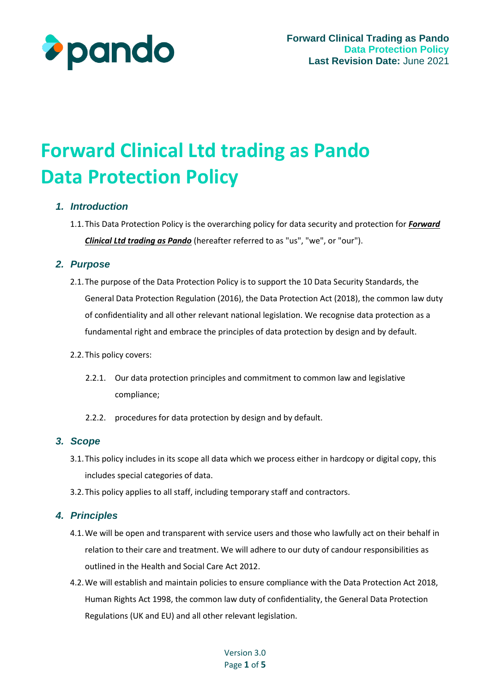

# **Forward Clinical Ltd trading as Pando Data Protection Policy**

## *1. Introduction*

1.1.This Data Protection Policy is the overarching policy for data security and protection for *Forward Clinical Ltd trading as Pando* (hereafter referred to as "us", "we", or "our").

## *2. Purpose*

- 2.1.The purpose of the Data Protection Policy is to support the 10 Data Security Standards, the General Data Protection Regulation (2016), the Data Protection Act (2018), the common law duty of confidentiality and all other relevant national legislation. We recognise data protection as a fundamental right and embrace the principles of data protection by design and by default.
- 2.2.This policy covers:
	- 2.2.1. Our data protection principles and commitment to common law and legislative compliance;
	- 2.2.2. procedures for data protection by design and by default.

#### *3. Scope*

- 3.1.This policy includes in its scope all data which we process either in hardcopy or digital copy, this includes special categories of data.
- 3.2.This policy applies to all staff, including temporary staff and contractors.

# *4. Principles*

- 4.1.We will be open and transparent with service users and those who lawfully act on their behalf in relation to their care and treatment. We will adhere to our duty of candour responsibilities as outlined in the Health and Social Care Act 2012.
- 4.2.We will establish and maintain policies to ensure compliance with the Data Protection Act 2018, Human Rights Act 1998, the common law duty of confidentiality, the General Data Protection Regulations (UK and EU) and all other relevant legislation.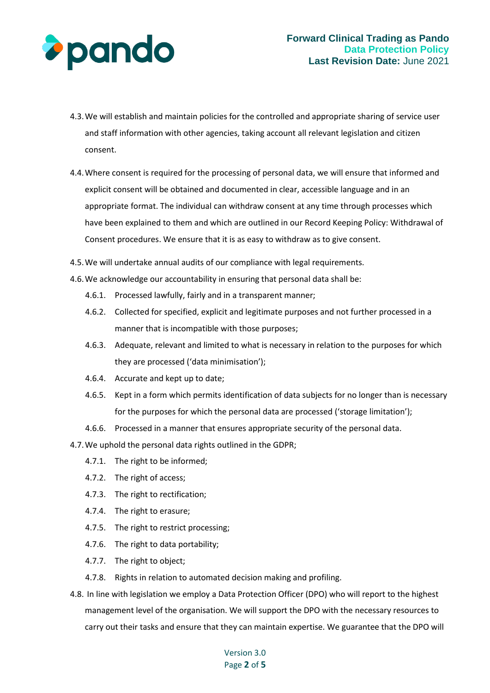

- 4.3.We will establish and maintain policies for the controlled and appropriate sharing of service user and staff information with other agencies, taking account all relevant legislation and citizen consent.
- 4.4.Where consent is required for the processing of personal data, we will ensure that informed and explicit consent will be obtained and documented in clear, accessible language and in an appropriate format. The individual can withdraw consent at any time through processes which have been explained to them and which are outlined in our Record Keeping Policy: Withdrawal of Consent procedures. We ensure that it is as easy to withdraw as to give consent.
- 4.5.We will undertake annual audits of our compliance with legal requirements.
- 4.6.We acknowledge our accountability in ensuring that personal data shall be:
	- 4.6.1. Processed lawfully, fairly and in a transparent manner;
	- 4.6.2. Collected for specified, explicit and legitimate purposes and not further processed in a manner that is incompatible with those purposes;
	- 4.6.3. Adequate, relevant and limited to what is necessary in relation to the purposes for which they are processed ('data minimisation');
	- 4.6.4. Accurate and kept up to date;
	- 4.6.5. Kept in a form which permits identification of data subjects for no longer than is necessary for the purposes for which the personal data are processed ('storage limitation');
	- 4.6.6. Processed in a manner that ensures appropriate security of the personal data.

4.7.We uphold the personal data rights outlined in the GDPR;

- 4.7.1. The right to be informed;
- 4.7.2. The right of access;
- 4.7.3. The right to rectification;
- 4.7.4. The right to erasure;
- 4.7.5. The right to restrict processing;
- 4.7.6. The right to data portability;
- 4.7.7. The right to object;
- 4.7.8. Rights in relation to automated decision making and profiling.
- 4.8. In line with legislation we employ a Data Protection Officer (DPO) who will report to the highest management level of the organisation. We will support the DPO with the necessary resources to carry out their tasks and ensure that they can maintain expertise. We guarantee that the DPO will

#### Version 3.0 Page **2** of **5**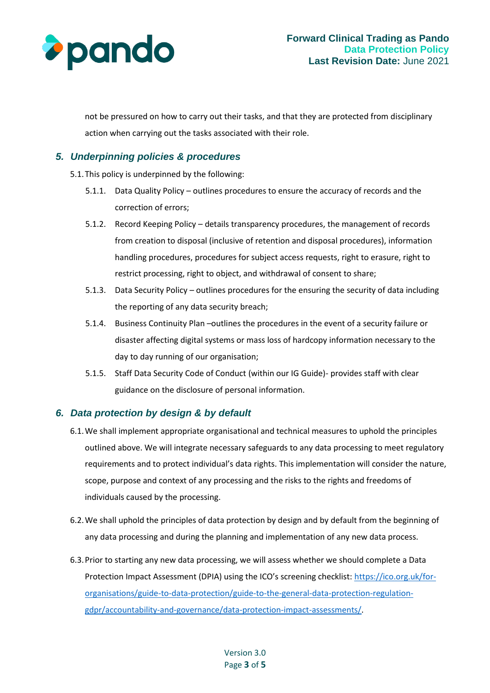

not be pressured on how to carry out their tasks, and that they are protected from disciplinary action when carrying out the tasks associated with their role.

## *5. Underpinning policies & procedures*

- 5.1.This policy is underpinned by the following:
	- 5.1.1. Data Quality Policy outlines procedures to ensure the accuracy of records and the correction of errors;
	- 5.1.2. Record Keeping Policy details transparency procedures, the management of records from creation to disposal (inclusive of retention and disposal procedures), information handling procedures, procedures for subject access requests, right to erasure, right to restrict processing, right to object, and withdrawal of consent to share;
	- 5.1.3. Data Security Policy outlines procedures for the ensuring the security of data including the reporting of any data security breach;
	- 5.1.4. Business Continuity Plan –outlines the procedures in the event of a security failure or disaster affecting digital systems or mass loss of hardcopy information necessary to the day to day running of our organisation;
	- 5.1.5. Staff Data Security Code of Conduct (within our IG Guide)- provides staff with clear guidance on the disclosure of personal information.

# *6. Data protection by design & by default*

- 6.1.We shall implement appropriate organisational and technical measures to uphold the principles outlined above. We will integrate necessary safeguards to any data processing to meet regulatory requirements and to protect individual's data rights. This implementation will consider the nature, scope, purpose and context of any processing and the risks to the rights and freedoms of individuals caused by the processing.
- 6.2.We shall uphold the principles of data protection by design and by default from the beginning of any data processing and during the planning and implementation of any new data process.
- 6.3.Prior to starting any new data processing, we will assess whether we should complete a Data Protection Impact Assessment (DPIA) using the ICO's screening checklist: [https://ico.org.uk/for](https://ico.org.uk/for-organisations/guide-to-data-protection/guide-to-the-general-data-protection-regulation-gdpr/accountability-and-governance/data-protection-impact-assessments/)[organisations/guide-to-data-protection/guide-to-the-general-data-protection-regulation](https://ico.org.uk/for-organisations/guide-to-data-protection/guide-to-the-general-data-protection-regulation-gdpr/accountability-and-governance/data-protection-impact-assessments/)[gdpr/accountability-and-governance/data-protection-impact-assessments/.](https://ico.org.uk/for-organisations/guide-to-data-protection/guide-to-the-general-data-protection-regulation-gdpr/accountability-and-governance/data-protection-impact-assessments/)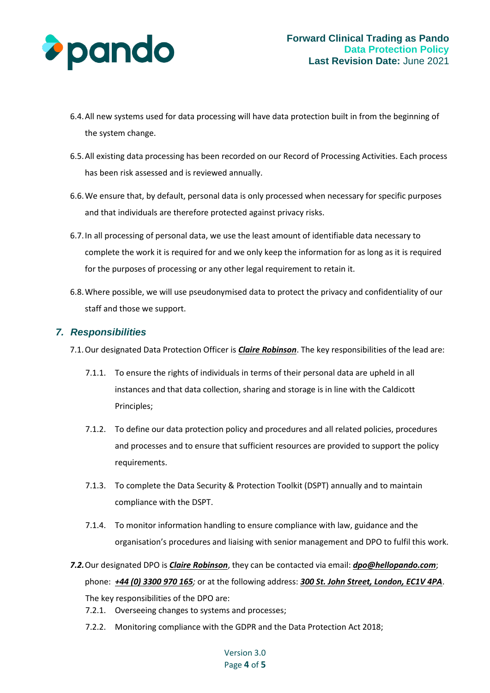

- 6.4.All new systems used for data processing will have data protection built in from the beginning of the system change.
- 6.5.All existing data processing has been recorded on our Record of Processing Activities. Each process has been risk assessed and is reviewed annually.
- 6.6.We ensure that, by default, personal data is only processed when necessary for specific purposes and that individuals are therefore protected against privacy risks.
- 6.7.In all processing of personal data, we use the least amount of identifiable data necessary to complete the work it is required for and we only keep the information for as long as it is required for the purposes of processing or any other legal requirement to retain it.
- 6.8.Where possible, we will use pseudonymised data to protect the privacy and confidentiality of our staff and those we support.

#### *7. Responsibilities*

- 7.1.Our designated Data Protection Officer is *Claire Robinson*. The key responsibilities of the lead are:
	- 7.1.1. To ensure the rights of individuals in terms of their personal data are upheld in all instances and that data collection, sharing and storage is in line with the Caldicott Principles;
	- 7.1.2. To define our data protection policy and procedures and all related policies, procedures and processes and to ensure that sufficient resources are provided to support the policy requirements.
	- 7.1.3. To complete the Data Security & Protection Toolkit (DSPT) annually and to maintain compliance with the DSPT.
	- 7.1.4. To monitor information handling to ensure compliance with law, guidance and the organisation's procedures and liaising with senior management and DPO to fulfil this work.
- *7.2.*Our designated DPO is *Claire Robinson*, they can be contacted via email: *dpo@hellopando.com*; phone: *+44 (0) 3300 970 165;* or at the following address: *300 St. John Street, London, EC1V 4PA*. The key responsibilities of the DPO are:
	- 7.2.1. Overseeing changes to systems and processes;
	- 7.2.2. Monitoring compliance with the GDPR and the Data Protection Act 2018;

#### Version 3.0 Page **4** of **5**